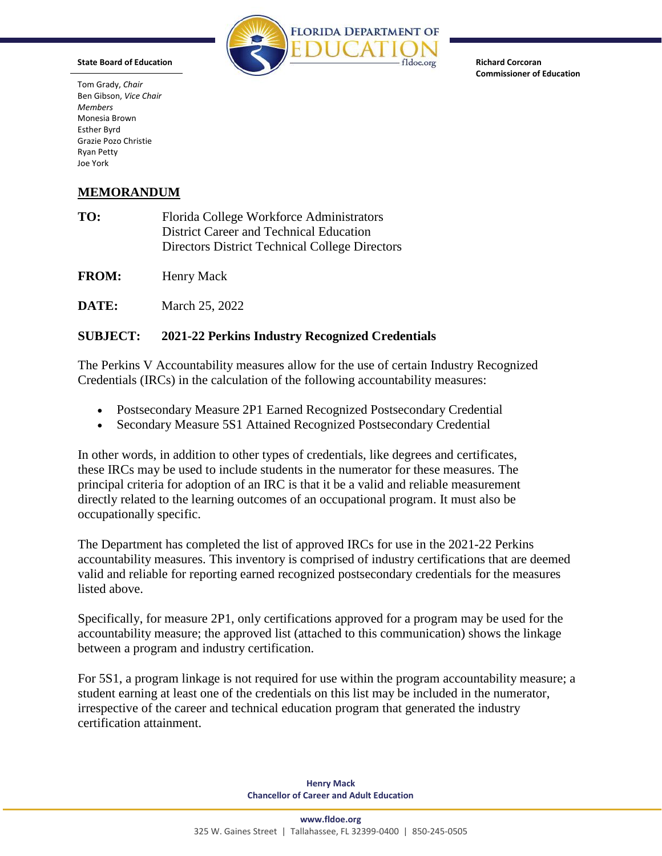

**Richard Corcoran Commissioner of Education**

Tom Grady, *Chair* Ben Gibson, *Vice Chair Members* Monesia Brown Esther Byrd Grazie Pozo Christie Ryan Petty Joe York

**State Board of Education**

## **MEMORANDUM**

| TO: | Florida College Workforce Administrators       |
|-----|------------------------------------------------|
|     | District Career and Technical Education        |
|     | Directors District Technical College Directors |

FROM: Henry Mack

**DATE:** March 25, 2022

## **SUBJECT: 2021-22 Perkins Industry Recognized Credentials**

The Perkins V Accountability measures allow for the use of certain Industry Recognized Credentials (IRCs) in the calculation of the following accountability measures:

- Postsecondary Measure 2P1 Earned Recognized Postsecondary Credential
- Secondary Measure 5S1 Attained Recognized Postsecondary Credential

In other words, in addition to other types of credentials, like degrees and certificates, these IRCs may be used to include students in the numerator for these measures. The principal criteria for adoption of an IRC is that it be a valid and reliable measurement directly related to the learning outcomes of an occupational program. It must also be occupationally specific.

The Department has completed the list of approved IRCs for use in the 2021-22 Perkins accountability measures. This inventory is comprised of industry certifications that are deemed valid and reliable for reporting earned recognized postsecondary credentials for the measures listed above.

Specifically, for measure 2P1, only certifications approved for a program may be used for the accountability measure; the approved list (attached to this communication) shows the linkage between a program and industry certification.

For 5S1, a program linkage is not required for use within the program accountability measure; a student earning at least one of the credentials on this list may be included in the numerator, irrespective of the career and technical education program that generated the industry certification attainment.

> **Henry Mack Chancellor of Career and Adult Education**